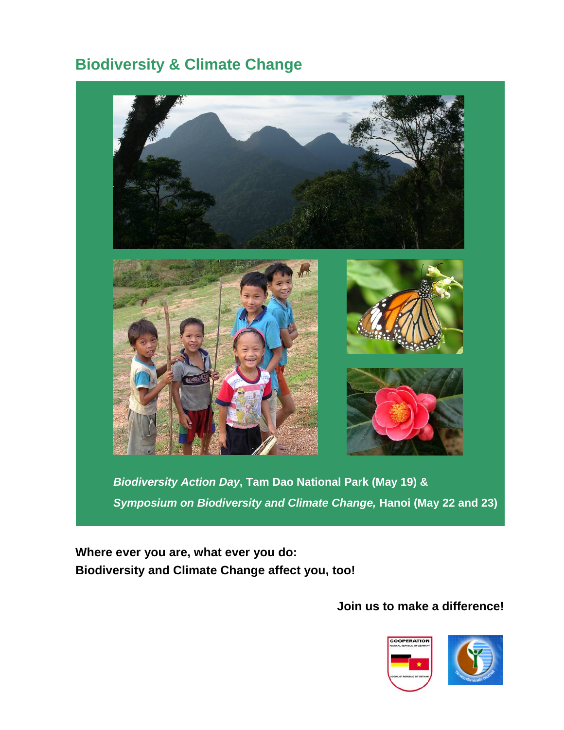# **Biodiversity & Climate Change**



*Biodiversity Action Day***, Tam Dao National Park (May 19) &**  *Symposium on Biodiversity and Climate Change,* **Hanoi (May 22 and 23)**

**Where ever you are, what ever you do: Biodiversity and Climate Change affect you, too!** 

# **Join us to make a difference!**



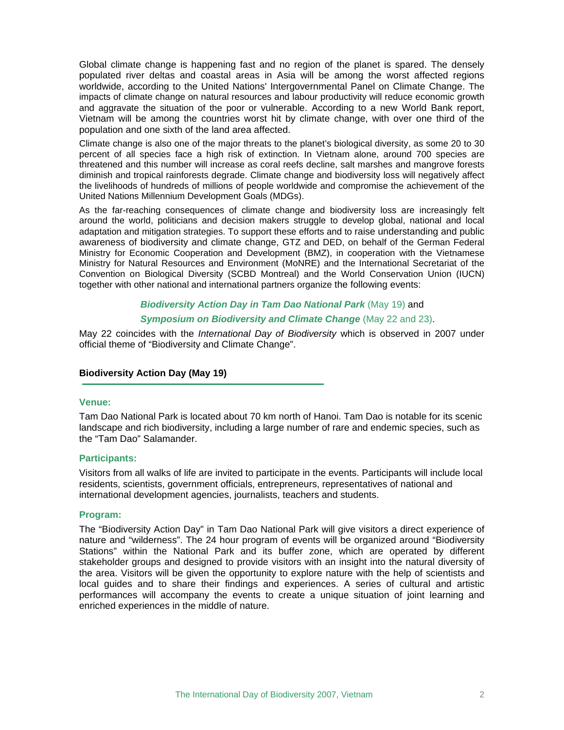Global climate change is happening fast and no region of the planet is spared. The densely populated river deltas and coastal areas in Asia will be among the worst affected regions worldwide, according to the United Nations' Intergovernmental Panel on Climate Change. The impacts of climate change on natural resources and labour productivity will reduce economic growth and aggravate the situation of the poor or vulnerable. According to a new World Bank report, Vietnam will be among the countries worst hit by climate change, with over one third of the population and one sixth of the land area affected.

Climate change is also one of the major threats to the planet's biological diversity, as some 20 to 30 percent of all species face a high risk of extinction. In Vietnam alone, around 700 species are threatened and this number will increase as coral reefs decline, salt marshes and mangrove forests diminish and tropical rainforests degrade. Climate change and biodiversity loss will negatively affect the livelihoods of hundreds of millions of people worldwide and compromise the achievement of the United Nations Millennium Development Goals (MDGs).

As the far-reaching consequences of climate change and biodiversity loss are increasingly felt around the world, politicians and decision makers struggle to develop global, national and local adaptation and mitigation strategies. To support these efforts and to raise understanding and public awareness of biodiversity and climate change, GTZ and DED, on behalf of the German Federal Ministry for Economic Cooperation and Development (BMZ), in cooperation with the Vietnamese Ministry for Natural Resources and Environment (MoNRE) and the International Secretariat of the Convention on Biological Diversity (SCBD Montreal) and the World Conservation Union (IUCN) together with other national and international partners organize the following events:

# *Biodiversity Action Day in Tam Dao National Park* (May 19) and

## *Symposium on Biodiversity and Climate Change* (May 22 and 23).

May 22 coincides with the *International Day of Biodiversity* which is observed in 2007 under official theme of "Biodiversity and Climate Change".

#### **Biodiversity Action Day (May 19)**

#### **Venue:**

Tam Dao National Park is located about 70 km north of Hanoi. Tam Dao is notable for its scenic landscape and rich biodiversity, including a large number of rare and endemic species, such as the "Tam Dao" Salamander.

#### **Participants:**

Visitors from all walks of life are invited to participate in the events. Participants will include local residents, scientists, government officials, entrepreneurs, representatives of national and international development agencies, journalists, teachers and students.

#### **Program:**

The "Biodiversity Action Day" in Tam Dao National Park will give visitors a direct experience of nature and "wilderness". The 24 hour program of events will be organized around "Biodiversity Stations" within the National Park and its buffer zone, which are operated by different stakeholder groups and designed to provide visitors with an insight into the natural diversity of the area. Visitors will be given the opportunity to explore nature with the help of scientists and local guides and to share their findings and experiences. A series of cultural and artistic performances will accompany the events to create a unique situation of joint learning and enriched experiences in the middle of nature.